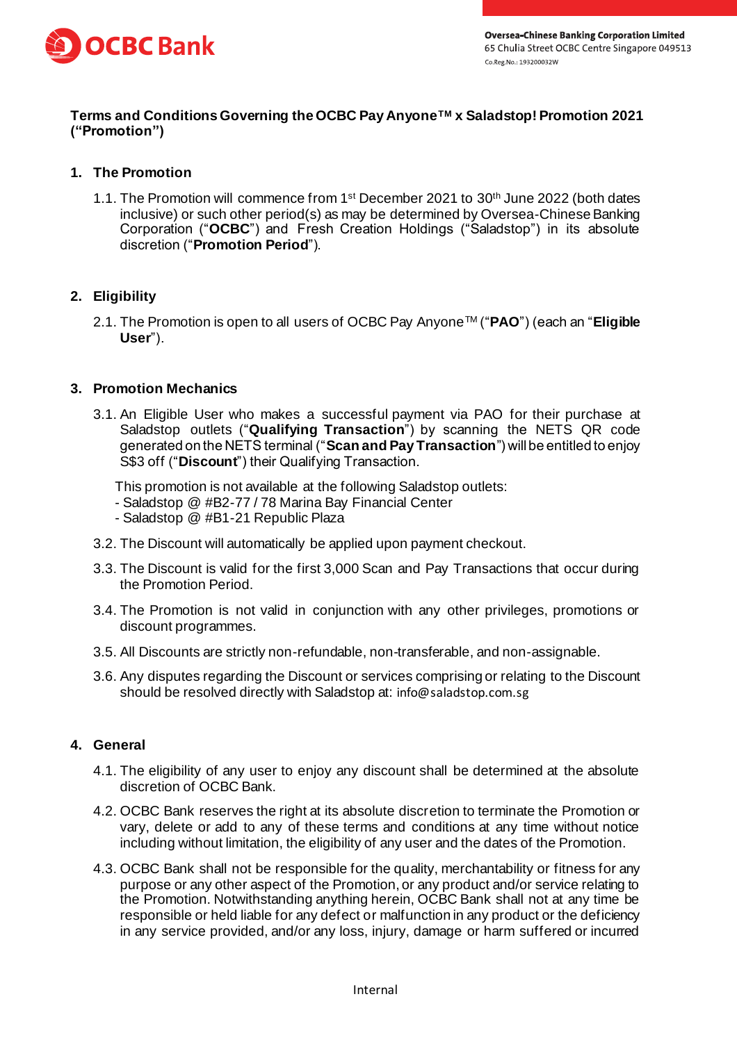

## **Terms and Conditions Governing the OCBC Pay AnyoneTM x Saladstop! Promotion 2021 ("Promotion")**

# **1. The Promotion**

1.1. The Promotion will commence from 1<sup>st</sup> December 2021 to 30<sup>th</sup> June 2022 (both dates inclusive) or such other period(s) as may be determined by Oversea-Chinese Banking Corporation ("**OCBC**") and Fresh Creation Holdings ("Saladstop") in its absolute discretion ("**Promotion Period**").

## **2. Eligibility**

2.1. The Promotion is open to all users of OCBC Pay AnyoneTM ("**PAO**") (each an "**Eligible User**").

## **3. Promotion Mechanics**

3.1. An Eligible User who makes a successful payment via PAO for their purchase at Saladstop outlets ("**Qualifying Transaction**") by scanning the NETS QR code generated on the NETS terminal ("**Scan and Pay Transaction**") will be entitled to enjoy S\$3 off ("**Discount**") their Qualifying Transaction.

This promotion is not available at the following Saladstop outlets:

- Saladstop @ #B2-77 / 78 Marina Bay Financial Center
- Saladstop @ #B1-21 Republic Plaza
- 3.2. The Discount will automatically be applied upon payment checkout.
- 3.3. The Discount is valid for the first 3,000 Scan and Pay Transactions that occur during the Promotion Period.
- 3.4. The Promotion is not valid in conjunction with any other privileges, promotions or discount programmes.
- 3.5. All Discounts are strictly non-refundable, non-transferable, and non-assignable.
- 3.6. Any disputes regarding the Discount or services comprising or relating to the Discount should be resolved directly with Saladstop at: info@saladstop.com.sg

#### **4. General**

- 4.1. The eligibility of any user to enjoy any discount shall be determined at the absolute discretion of OCBC Bank.
- 4.2. OCBC Bank reserves the right at its absolute discretion to terminate the Promotion or vary, delete or add to any of these terms and conditions at any time without notice including without limitation, the eligibility of any user and the dates of the Promotion.
- 4.3. OCBC Bank shall not be responsible for the quality, merchantability or fitness for any purpose or any other aspect of the Promotion, or any product and/or service relating to the Promotion. Notwithstanding anything herein, OCBC Bank shall not at any time be responsible or held liable for any defect or malfunction in any product or the deficiency in any service provided, and/or any loss, injury, damage or harm suffered or incurred